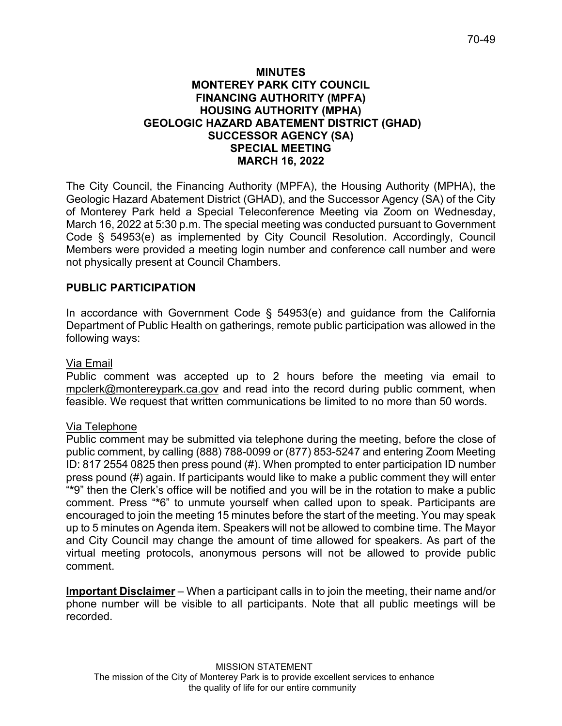### **MINUTES MONTEREY PARK CITY COUNCIL FINANCING AUTHORITY (MPFA) HOUSING AUTHORITY (MPHA) GEOLOGIC HAZARD ABATEMENT DISTRICT (GHAD) SUCCESSOR AGENCY (SA) SPECIAL MEETING MARCH 16, 2022**

The City Council, the Financing Authority (MPFA), the Housing Authority (MPHA), the Geologic Hazard Abatement District (GHAD), and the Successor Agency (SA) of the City of Monterey Park held a Special Teleconference Meeting via Zoom on Wednesday, March 16, 2022 at 5:30 p.m. The special meeting was conducted pursuant to Government Code § 54953(e) as implemented by City Council Resolution. Accordingly, Council Members were provided a meeting login number and conference call number and were not physically present at Council Chambers.

# **PUBLIC PARTICIPATION**

In accordance with Government Code § 54953(e) and guidance from the California Department of Public Health on gatherings, remote public participation was allowed in the following ways:

### Via Email

Public comment was accepted up to 2 hours before the meeting via email to [mpclerk@montereypark.ca.gov](mailto:mpclerk@montereypark.ca.gov) and read into the record during public comment, when feasible. We request that written communications be limited to no more than 50 words.

### Via Telephone

Public comment may be submitted via telephone during the meeting, before the close of public comment, by calling (888) 788-0099 or (877) 853-5247 and entering Zoom Meeting ID: 817 2554 0825 then press pound (#). When prompted to enter participation ID number press pound (#) again. If participants would like to make a public comment they will enter "**\***9" then the Clerk's office will be notified and you will be in the rotation to make a public comment. Press "**\***6" to unmute yourself when called upon to speak. Participants are encouraged to join the meeting 15 minutes before the start of the meeting. You may speak up to 5 minutes on Agenda item. Speakers will not be allowed to combine time. The Mayor and City Council may change the amount of time allowed for speakers. As part of the virtual meeting protocols, anonymous persons will not be allowed to provide public comment.

**Important Disclaimer** – When a participant calls in to join the meeting, their name and/or phone number will be visible to all participants. Note that all public meetings will be recorded.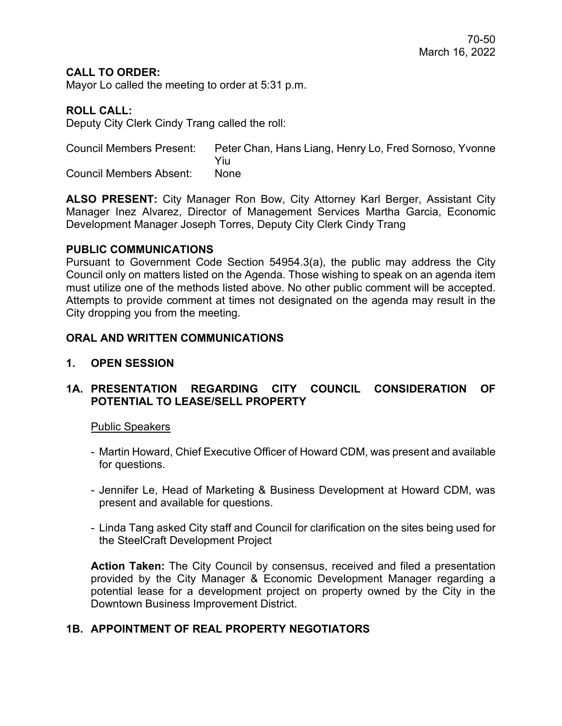## **CALL TO ORDER:**

Mayor Lo called the meeting to order at 5:31 p.m.

### **ROLL CALL:**

Deputy City Clerk Cindy Trang called the roll:

Council Members Present: Peter Chan, Hans Liang, Henry Lo, Fred Sornoso, Yvonne Yiu Council Members Absent: None

**ALSO PRESENT:** City Manager Ron Bow, City Attorney Karl Berger, Assistant City Manager Inez Alvarez, Director of Management Services Martha Garcia, Economic Development Manager Joseph Torres, Deputy City Clerk Cindy Trang

#### **PUBLIC COMMUNICATIONS**

Pursuant to Government Code Section 54954.3(a), the public may address the City Council only on matters listed on the Agenda. Those wishing to speak on an agenda item must utilize one of the methods listed above. No other public comment will be accepted. Attempts to provide comment at times not designated on the agenda may result in the City dropping you from the meeting.

### **ORAL AND WRITTEN COMMUNICATIONS**

**1. OPEN SESSION**

## **1A. PRESENTATION REGARDING CITY COUNCIL CONSIDERATION OF POTENTIAL TO LEASE/SELL PROPERTY**

#### Public Speakers

- Martin Howard, Chief Executive Officer of Howard CDM, was present and available for questions.
- Jennifer Le, Head of Marketing & Business Development at Howard CDM, was present and available for questions.
- Linda Tang asked City staff and Council for clarification on the sites being used for the SteelCraft Development Project

**Action Taken:** The City Council by consensus, received and filed a presentation provided by the City Manager & Economic Development Manager regarding a potential lease for a development project on property owned by the City in the Downtown Business Improvement District.

# **1B. APPOINTMENT OF REAL PROPERTY NEGOTIATORS**